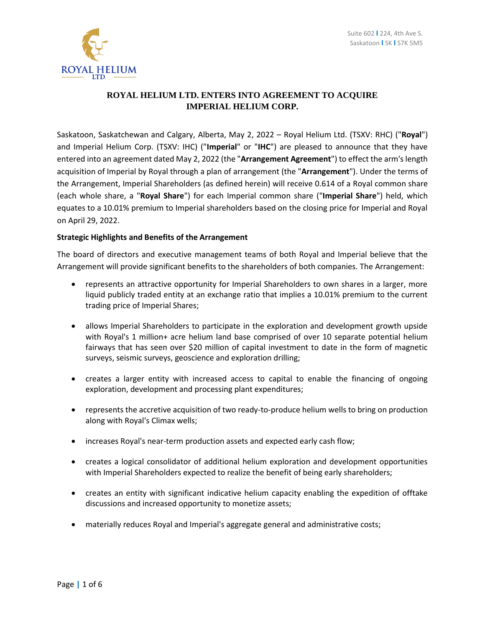

# **ROYAL HELIUM LTD. ENTERS INTO AGREEMENT TO ACQUIRE IMPERIAL HELIUM CORP.**

Saskatoon, Saskatchewan and Calgary, Alberta, May 2, 2022 – Royal Helium Ltd. (TSXV: RHC) ("**Royal**") and Imperial Helium Corp. (TSXV: IHC) ("**Imperial**" or "**IHC**") are pleased to announce that they have entered into an agreement dated May 2, 2022 (the "**Arrangement Agreement**") to effect the arm's length acquisition of Imperial by Royal through a plan of arrangement (the "**Arrangement**"). Under the terms of the Arrangement, Imperial Shareholders (as defined herein) will receive 0.614 of a Royal common share (each whole share, a "**Royal Share**") for each Imperial common share ("**Imperial Share**") held, which equates to a 10.01% premium to Imperial shareholders based on the closing price for Imperial and Royal on April 29, 2022.

## **Strategic Highlights and Benefits of the Arrangement**

The board of directors and executive management teams of both Royal and Imperial believe that the Arrangement will provide significant benefits to the shareholders of both companies. The Arrangement:

- represents an attractive opportunity for Imperial Shareholders to own shares in a larger, more liquid publicly traded entity at an exchange ratio that implies a 10.01% premium to the current trading price of Imperial Shares;
- allows Imperial Shareholders to participate in the exploration and development growth upside with Royal's 1 million+ acre helium land base comprised of over 10 separate potential helium fairways that has seen over \$20 million of capital investment to date in the form of magnetic surveys, seismic surveys, geoscience and exploration drilling;
- creates a larger entity with increased access to capital to enable the financing of ongoing exploration, development and processing plant expenditures;
- represents the accretive acquisition of two ready-to-produce helium wells to bring on production along with Royal's Climax wells;
- increases Royal's near-term production assets and expected early cash flow;
- creates a logical consolidator of additional helium exploration and development opportunities with Imperial Shareholders expected to realize the benefit of being early shareholders;
- creates an entity with significant indicative helium capacity enabling the expedition of offtake discussions and increased opportunity to monetize assets;
- materially reduces Royal and Imperial's aggregate general and administrative costs;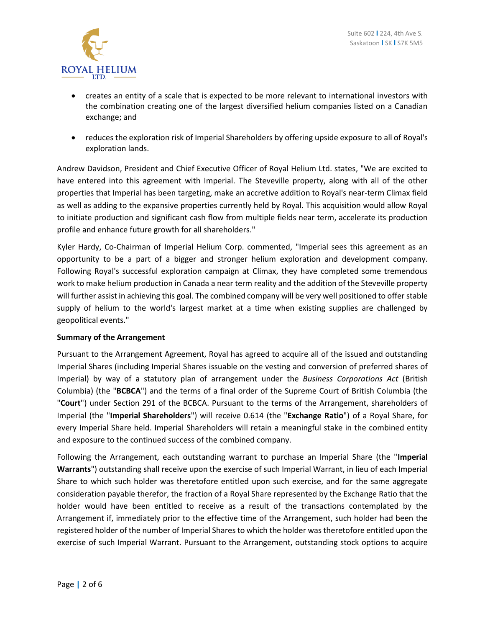

- creates an entity of a scale that is expected to be more relevant to international investors with the combination creating one of the largest diversified helium companies listed on a Canadian exchange; and
- reduces the exploration risk of Imperial Shareholders by offering upside exposure to all of Royal's exploration lands.

Andrew Davidson, President and Chief Executive Officer of Royal Helium Ltd. states, "We are excited to have entered into this agreement with Imperial. The Steveville property, along with all of the other properties that Imperial has been targeting, make an accretive addition to Royal's near-term Climax field as well as adding to the expansive properties currently held by Royal. This acquisition would allow Royal to initiate production and significant cash flow from multiple fields near term, accelerate its production profile and enhance future growth for all shareholders."

Kyler Hardy, Co-Chairman of Imperial Helium Corp. commented, "Imperial sees this agreement as an opportunity to be a part of a bigger and stronger helium exploration and development company. Following Royal's successful exploration campaign at Climax, they have completed some tremendous work to make helium production in Canada a near term reality and the addition of the Steveville property will further assist in achieving this goal. The combined company will be very well positioned to offer stable supply of helium to the world's largest market at a time when existing supplies are challenged by geopolitical events."

## **Summary of the Arrangement**

Pursuant to the Arrangement Agreement, Royal has agreed to acquire all of the issued and outstanding Imperial Shares (including Imperial Shares issuable on the vesting and conversion of preferred shares of Imperial) by way of a statutory plan of arrangement under the *Business Corporations Act* (British Columbia) (the "**BCBCA**") and the terms of a final order of the Supreme Court of British Columbia (the "**Court**") under Section 291 of the BCBCA. Pursuant to the terms of the Arrangement, shareholders of Imperial (the "**Imperial Shareholders**") will receive 0.614 (the "**Exchange Ratio**") of a Royal Share, for every Imperial Share held. Imperial Shareholders will retain a meaningful stake in the combined entity and exposure to the continued success of the combined company.

Following the Arrangement, each outstanding warrant to purchase an Imperial Share (the "**Imperial Warrants**") outstanding shall receive upon the exercise of such Imperial Warrant, in lieu of each Imperial Share to which such holder was theretofore entitled upon such exercise, and for the same aggregate consideration payable therefor, the fraction of a Royal Share represented by the Exchange Ratio that the holder would have been entitled to receive as a result of the transactions contemplated by the Arrangement if, immediately prior to the effective time of the Arrangement, such holder had been the registered holder of the number of Imperial Shares to which the holder was theretofore entitled upon the exercise of such Imperial Warrant. Pursuant to the Arrangement, outstanding stock options to acquire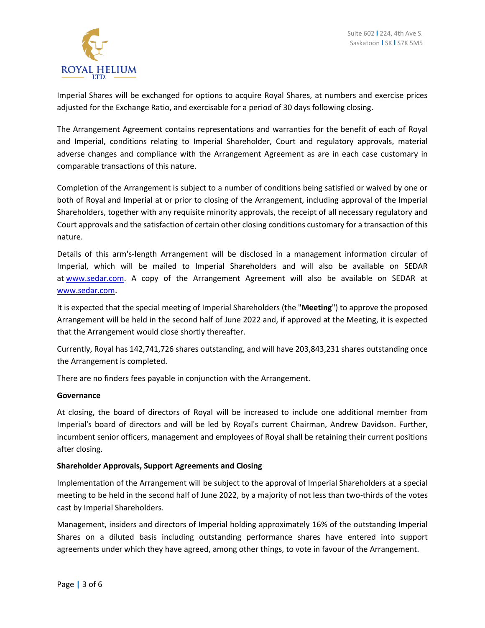

Imperial Shares will be exchanged for options to acquire Royal Shares, at numbers and exercise prices adjusted for the Exchange Ratio, and exercisable for a period of 30 days following closing.

The Arrangement Agreement contains representations and warranties for the benefit of each of Royal and Imperial, conditions relating to Imperial Shareholder, Court and regulatory approvals, material adverse changes and compliance with the Arrangement Agreement as are in each case customary in comparable transactions of this nature.

Completion of the Arrangement is subject to a number of conditions being satisfied or waived by one or both of Royal and Imperial at or prior to closing of the Arrangement, including approval of the Imperial Shareholders, together with any requisite minority approvals, the receipt of all necessary regulatory and Court approvals and the satisfaction of certain other closing conditions customary for a transaction of this nature.

Details of this arm's-length Arrangement will be disclosed in a management information circular of Imperial, which will be mailed to Imperial Shareholders and will also be available on SEDAR at [www.sedar.com.](http://www.sedar.com/) A copy of the Arrangement Agreement will also be available on SEDAR at [www.sedar.com.](http://www.sedar.com/)

It is expected that the special meeting of Imperial Shareholders (the "**Meeting**") to approve the proposed Arrangement will be held in the second half of June 2022 and, if approved at the Meeting, it is expected that the Arrangement would close shortly thereafter.

Currently, Royal has 142,741,726 shares outstanding, and will have 203,843,231 shares outstanding once the Arrangement is completed.

There are no finders fees payable in conjunction with the Arrangement.

## **Governance**

At closing, the board of directors of Royal will be increased to include one additional member from Imperial's board of directors and will be led by Royal's current Chairman, Andrew Davidson. Further, incumbent senior officers, management and employees of Royal shall be retaining their current positions after closing.

## **Shareholder Approvals, Support Agreements and Closing**

Implementation of the Arrangement will be subject to the approval of Imperial Shareholders at a special meeting to be held in the second half of June 2022, by a majority of not less than two-thirds of the votes cast by Imperial Shareholders.

Management, insiders and directors of Imperial holding approximately 16% of the outstanding Imperial Shares on a diluted basis including outstanding performance shares have entered into support agreements under which they have agreed, among other things, to vote in favour of the Arrangement.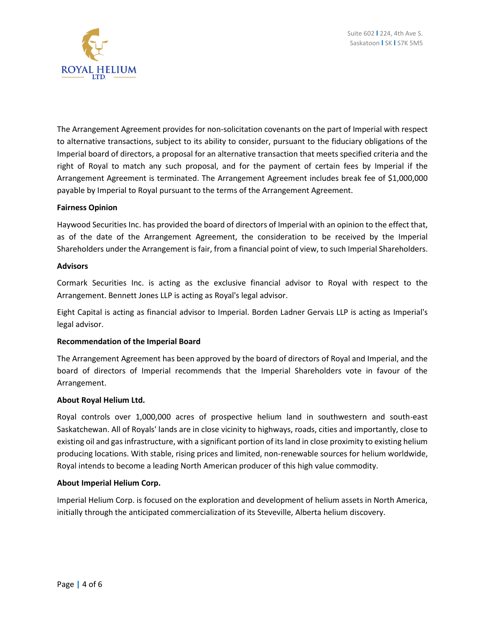

The Arrangement Agreement provides for non-solicitation covenants on the part of Imperial with respect to alternative transactions, subject to its ability to consider, pursuant to the fiduciary obligations of the Imperial board of directors, a proposal for an alternative transaction that meets specified criteria and the right of Royal to match any such proposal, and for the payment of certain fees by Imperial if the Arrangement Agreement is terminated. The Arrangement Agreement includes break fee of \$1,000,000 payable by Imperial to Royal pursuant to the terms of the Arrangement Agreement.

### **Fairness Opinion**

Haywood Securities Inc. has provided the board of directors of Imperial with an opinion to the effect that, as of the date of the Arrangement Agreement, the consideration to be received by the Imperial Shareholders under the Arrangement is fair, from a financial point of view, to such Imperial Shareholders.

### **Advisors**

Cormark Securities Inc. is acting as the exclusive financial advisor to Royal with respect to the Arrangement. Bennett Jones LLP is acting as Royal's legal advisor.

Eight Capital is acting as financial advisor to Imperial. Borden Ladner Gervais LLP is acting as Imperial's legal advisor.

## **Recommendation of the Imperial Board**

The Arrangement Agreement has been approved by the board of directors of Royal and Imperial, and the board of directors of Imperial recommends that the Imperial Shareholders vote in favour of the Arrangement.

#### **About Royal Helium Ltd.**

Royal controls over 1,000,000 acres of prospective helium land in southwestern and south-east Saskatchewan. All of Royals' lands are in close vicinity to highways, roads, cities and importantly, close to existing oil and gasinfrastructure, with a significant portion of its land in close proximity to existing helium producing locations. With stable, rising prices and limited, non-renewable sources for helium worldwide, Royal intends to become a leading North American producer of this high value commodity.

## **About Imperial Helium Corp.**

Imperial Helium Corp. is focused on the exploration and development of helium assets in North America, initially through the anticipated commercialization of its Steveville, Alberta helium discovery.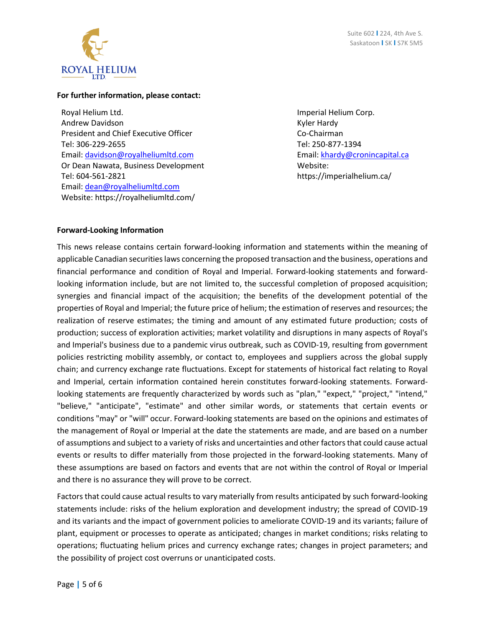

### **For further information, please contact:**

Royal Helium Ltd. Andrew Davidson President and Chief Executive Officer Tel: 306-229-2655 Email: [davidson@royalheliumltd.com](mailto:davidson@royalheliumltd.com) Or Dean Nawata, Business Development Tel: 604-561-2821 Email: [dean@royalheliumltd.com](mailto:dean@royalheliumltd.com) Website: https://royalheliumltd.com/

Imperial Helium Corp. Kyler Hardy Co-Chairman Tel: 250-877-1394 Email: [khardy@cronincapital.ca](mailto:khardy@cronincapital.ca) Website: https://imperialhelium.ca/

## **Forward-Looking Information**

This news release contains certain forward-looking information and statements within the meaning of applicable Canadian securities laws concerning the proposed transaction and the business, operations and financial performance and condition of Royal and Imperial. Forward-looking statements and forwardlooking information include, but are not limited to, the successful completion of proposed acquisition; synergies and financial impact of the acquisition; the benefits of the development potential of the properties of Royal and Imperial; the future price of helium; the estimation of reserves and resources; the realization of reserve estimates; the timing and amount of any estimated future production; costs of production; success of exploration activities; market volatility and disruptions in many aspects of Royal's and Imperial's business due to a pandemic virus outbreak, such as COVID-19, resulting from government policies restricting mobility assembly, or contact to, employees and suppliers across the global supply chain; and currency exchange rate fluctuations. Except for statements of historical fact relating to Royal and Imperial, certain information contained herein constitutes forward-looking statements. Forwardlooking statements are frequently characterized by words such as "plan," "expect," "project," "intend," "believe," "anticipate", "estimate" and other similar words, or statements that certain events or conditions "may" or "will" occur. Forward-looking statements are based on the opinions and estimates of the management of Royal or Imperial at the date the statements are made, and are based on a number of assumptions and subject to a variety of risks and uncertainties and other factors that could cause actual events or results to differ materially from those projected in the forward-looking statements. Many of these assumptions are based on factors and events that are not within the control of Royal or Imperial and there is no assurance they will prove to be correct.

Factors that could cause actual results to vary materially from results anticipated by such forward-looking statements include: risks of the helium exploration and development industry; the spread of COVID-19 and its variants and the impact of government policies to ameliorate COVID-19 and its variants; failure of plant, equipment or processes to operate as anticipated; changes in market conditions; risks relating to operations; fluctuating helium prices and currency exchange rates; changes in project parameters; and the possibility of project cost overruns or unanticipated costs.